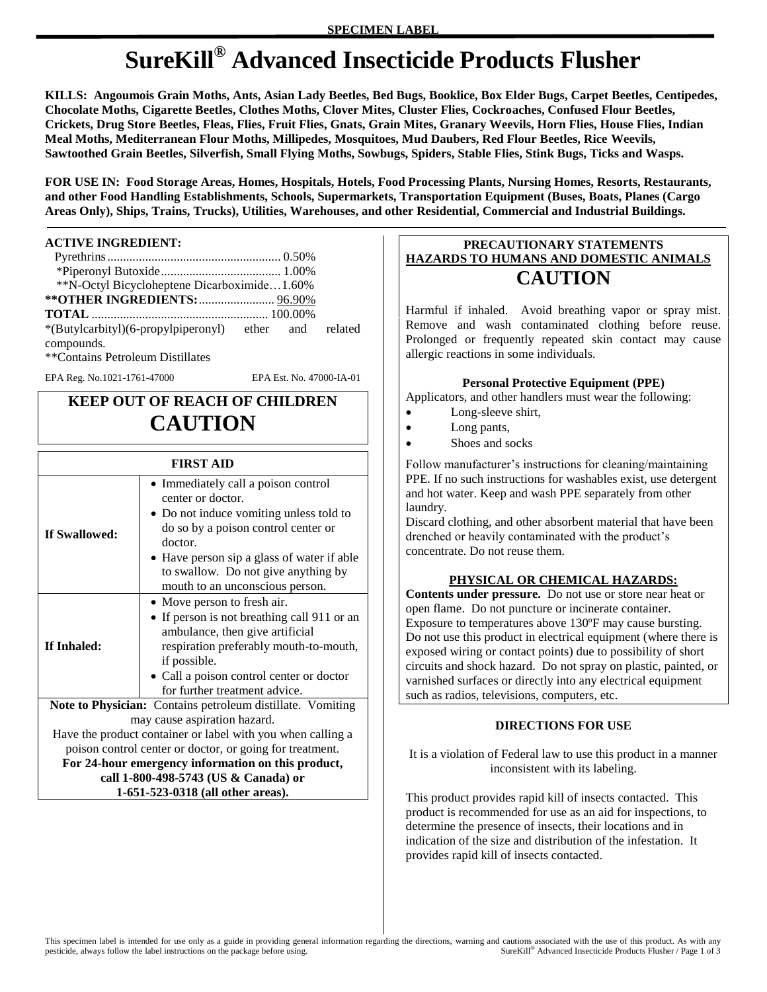# **SureKill® Advanced Insecticide Products Flusher**

**KILLS: Angoumois Grain Moths, Ants, Asian Lady Beetles, Bed Bugs, Booklice, Box Elder Bugs, Carpet Beetles, Centipedes, Chocolate Moths, Cigarette Beetles, Clothes Moths, Clover Mites, Cluster Flies, Cockroaches, Confused Flour Beetles, Crickets, Drug Store Beetles, Fleas, Flies, Fruit Flies, Gnats, Grain Mites, Granary Weevils, Horn Flies, House Flies, Indian Meal Moths, Mediterranean Flour Moths, Millipedes, Mosquitoes, Mud Daubers, Red Flour Beetles, Rice Weevils, Sawtoothed Grain Beetles, Silverfish, Small Flying Moths, Sowbugs, Spiders, Stable Flies, Stink Bugs, Ticks and Wasps.** 

**FOR USE IN: Food Storage Areas, Homes, Hospitals, Hotels, Food Processing Plants, Nursing Homes, Resorts, Restaurants, and other Food Handling Establishments, Schools, Supermarkets, Transportation Equipment (Buses, Boats, Planes (Cargo Areas Only), Ships, Trains, Trucks), Utilities, Warehouses, and other Residential, Commercial and Industrial Buildings.**

#### **ACTIVE INGREDIENT:**

| **N-Octyl Bicycloheptene Dicarboximide1.60%           |  |  |
|-------------------------------------------------------|--|--|
| ** OTHER INGREDIENTS:  96.90%                         |  |  |
|                                                       |  |  |
| *(Butylcarbityl)(6-propylpiperonyl) ether and related |  |  |
| compounds.                                            |  |  |
| **Contains Petroleum Distillates                      |  |  |

EPA Reg. No.1021-1761-47000 EPA Est. No. 47000-IA-01

# **KEEP OUT OF REACH OF CHILDREN CAUTION**

| <b>FIRST AID</b> |                                                                                                                                                                                                                                                                               |  |
|------------------|-------------------------------------------------------------------------------------------------------------------------------------------------------------------------------------------------------------------------------------------------------------------------------|--|
| If Swallowed:    | • Immediately call a poison control<br>center or doctor.<br>• Do not induce vomiting unless told to<br>do so by a poison control center or<br>doctor.<br>• Have person sip a glass of water if able<br>to swallow. Do not give anything by<br>mouth to an unconscious person. |  |
| If Inhaled:      | • Move person to fresh air.<br>• If person is not breathing call 911 or an<br>ambulance, then give artificial<br>respiration preferably mouth-to-mouth,<br>if possible.<br>• Call a poison control center or doctor<br>for further treatment advice.                          |  |
|                  | Note to Physician: Contains petroleum distillate. Vomiting                                                                                                                                                                                                                    |  |
|                  | may cause aspiration hazard.                                                                                                                                                                                                                                                  |  |
|                  | Have the product container or label with you when calling a                                                                                                                                                                                                                   |  |
|                  | poison control center or doctor, or going for treatment.                                                                                                                                                                                                                      |  |
|                  | For 24-hour emergency information on this product,                                                                                                                                                                                                                            |  |
|                  | call 1-800-498-5743 (US & Canada) or                                                                                                                                                                                                                                          |  |
|                  | 1-651-523-0318 (all other areas).                                                                                                                                                                                                                                             |  |

## **PRECAUTIONARY STATEMENTS HAZARDS TO HUMANS AND DOMESTIC ANIMALS CAUTION**

Harmful if inhaled. Avoid breathing vapor or spray mist. Remove and wash contaminated clothing before reuse. Prolonged or frequently repeated skin contact may cause allergic reactions in some individuals.

### **Personal Protective Equipment (PPE)**

Applicators, and other handlers must wear the following:

- Long-sleeve shirt,
- Long pants,
- Shoes and socks

Follow manufacturer's instructions for cleaning/maintaining PPE. If no such instructions for washables exist, use detergent and hot water. Keep and wash PPE separately from other laundry.

Discard clothing, and other absorbent material that have been drenched or heavily contaminated with the product's concentrate. Do not reuse them.

### **PHYSICAL OR CHEMICAL HAZARDS:**

**Contents under pressure.** Do not use or store near heat or open flame. Do not puncture or incinerate container. Exposure to temperatures above 130ºF may cause bursting. Do not use this product in electrical equipment (where there is exposed wiring or contact points) due to possibility of short circuits and shock hazard. Do not spray on plastic, painted, or varnished surfaces or directly into any electrical equipment such as radios, televisions, computers, etc.

#### **DIRECTIONS FOR USE**

It is a violation of Federal law to use this product in a manner inconsistent with its labeling.

This product provides rapid kill of insects contacted. This product is recommended for use as an aid for inspections, to determine the presence of insects, their locations and in indication of the size and distribution of the infestation. It provides rapid kill of insects contacted.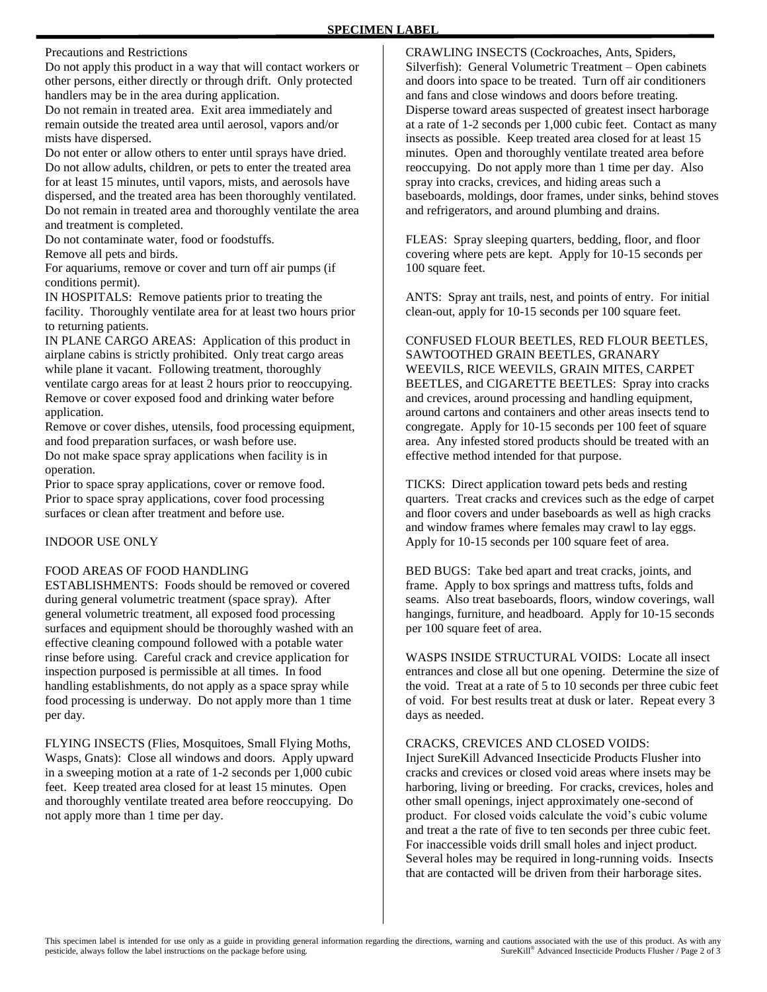Precautions and Restrictions

Do not apply this product in a way that will contact workers or other persons, either directly or through drift. Only protected handlers may be in the area during application.

Do not remain in treated area. Exit area immediately and remain outside the treated area until aerosol, vapors and/or mists have dispersed.

Do not enter or allow others to enter until sprays have dried. Do not allow adults, children, or pets to enter the treated area for at least 15 minutes, until vapors, mists, and aerosols have dispersed, and the treated area has been thoroughly ventilated. Do not remain in treated area and thoroughly ventilate the area and treatment is completed.

Do not contaminate water, food or foodstuffs.

Remove all pets and birds.

For aquariums, remove or cover and turn off air pumps (if conditions permit).

IN HOSPITALS: Remove patients prior to treating the facility. Thoroughly ventilate area for at least two hours prior to returning patients.

IN PLANE CARGO AREAS: Application of this product in airplane cabins is strictly prohibited. Only treat cargo areas while plane it vacant. Following treatment, thoroughly ventilate cargo areas for at least 2 hours prior to reoccupying. Remove or cover exposed food and drinking water before application.

Remove or cover dishes, utensils, food processing equipment, and food preparation surfaces, or wash before use. Do not make space spray applications when facility is in operation.

Prior to space spray applications, cover or remove food. Prior to space spray applications, cover food processing surfaces or clean after treatment and before use.

#### INDOOR USE ONLY

#### FOOD AREAS OF FOOD HANDLING

ESTABLISHMENTS: Foods should be removed or covered during general volumetric treatment (space spray). After general volumetric treatment, all exposed food processing surfaces and equipment should be thoroughly washed with an effective cleaning compound followed with a potable water rinse before using. Careful crack and crevice application for inspection purposed is permissible at all times. In food handling establishments, do not apply as a space spray while food processing is underway. Do not apply more than 1 time per day.

FLYING INSECTS (Flies, Mosquitoes, Small Flying Moths, Wasps, Gnats): Close all windows and doors. Apply upward in a sweeping motion at a rate of 1-2 seconds per 1,000 cubic feet. Keep treated area closed for at least 15 minutes. Open and thoroughly ventilate treated area before reoccupying. Do not apply more than 1 time per day.

CRAWLING INSECTS (Cockroaches, Ants, Spiders, Silverfish): General Volumetric Treatment – Open cabinets and doors into space to be treated. Turn off air conditioners and fans and close windows and doors before treating. Disperse toward areas suspected of greatest insect harborage at a rate of 1-2 seconds per 1,000 cubic feet. Contact as many insects as possible. Keep treated area closed for at least 15 minutes. Open and thoroughly ventilate treated area before reoccupying. Do not apply more than 1 time per day. Also spray into cracks, crevices, and hiding areas such a baseboards, moldings, door frames, under sinks, behind stoves and refrigerators, and around plumbing and drains.

FLEAS: Spray sleeping quarters, bedding, floor, and floor covering where pets are kept. Apply for 10-15 seconds per 100 square feet.

ANTS: Spray ant trails, nest, and points of entry. For initial clean-out, apply for 10-15 seconds per 100 square feet.

CONFUSED FLOUR BEETLES, RED FLOUR BEETLES, SAWTOOTHED GRAIN BEETLES, GRANARY WEEVILS, RICE WEEVILS, GRAIN MITES, CARPET BEETLES, and CIGARETTE BEETLES: Spray into cracks and crevices, around processing and handling equipment, around cartons and containers and other areas insects tend to congregate. Apply for 10-15 seconds per 100 feet of square area. Any infested stored products should be treated with an effective method intended for that purpose.

TICKS: Direct application toward pets beds and resting quarters. Treat cracks and crevices such as the edge of carpet and floor covers and under baseboards as well as high cracks and window frames where females may crawl to lay eggs. Apply for 10-15 seconds per 100 square feet of area.

BED BUGS: Take bed apart and treat cracks, joints, and frame. Apply to box springs and mattress tufts, folds and seams. Also treat baseboards, floors, window coverings, wall hangings, furniture, and headboard. Apply for 10-15 seconds per 100 square feet of area.

WASPS INSIDE STRUCTURAL VOIDS: Locate all insect entrances and close all but one opening. Determine the size of the void. Treat at a rate of 5 to 10 seconds per three cubic feet of void. For best results treat at dusk or later. Repeat every 3 days as needed.

#### CRACKS, CREVICES AND CLOSED VOIDS:

Inject SureKill Advanced Insecticide Products Flusher into cracks and crevices or closed void areas where insets may be harboring, living or breeding. For cracks, crevices, holes and other small openings, inject approximately one-second of product. For closed voids calculate the void's cubic volume and treat a the rate of five to ten seconds per three cubic feet. For inaccessible voids drill small holes and inject product. Several holes may be required in long-running voids. Insects that are contacted will be driven from their harborage sites.